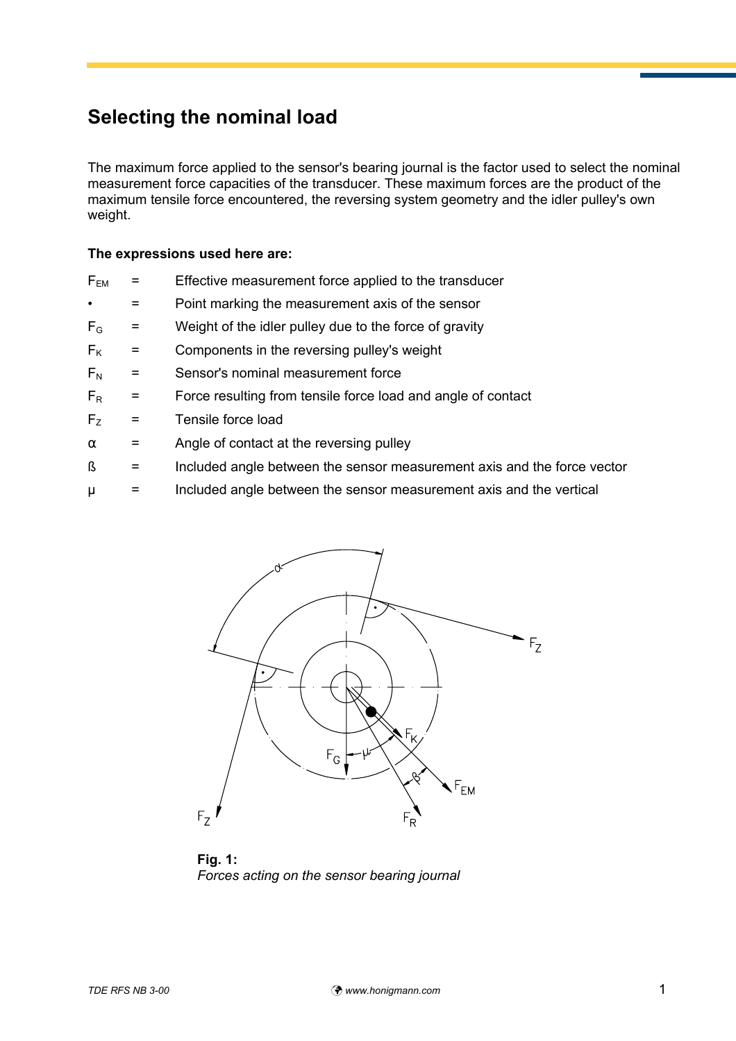## **Selecting the nominal load**

The maximum force applied to the sensor's bearing journal is the factor used to select the nominal measurement force capacities of the transducer. These maximum forces are the product of the maximum tensile force encountered, the reversing system geometry and the idler pulley's own weight.

## **The expressions used here are:**

- $F_{EM}$  = Effective measurement force applied to the transducer
- = Point marking the measurement axis of the sensor
- $F<sub>G</sub>$  = Weight of the idler pulley due to the force of gravity
- $F_K$  = Components in the reversing pulley's weight
- $F_N$  = Sensor's nominal measurement force
- $F_R$  = Force resulting from tensile force load and angle of contact
- $F<sub>z</sub>$  = Tensile force load
- $\alpha$  = Angle of contact at the reversing pulley
- $\beta$  = Included angle between the sensor measurement axis and the force vector
- $\mu$  = Included angle between the sensor measurement axis and the vertical



**Fig. 1:** *Forces acting on the sensor bearing journal*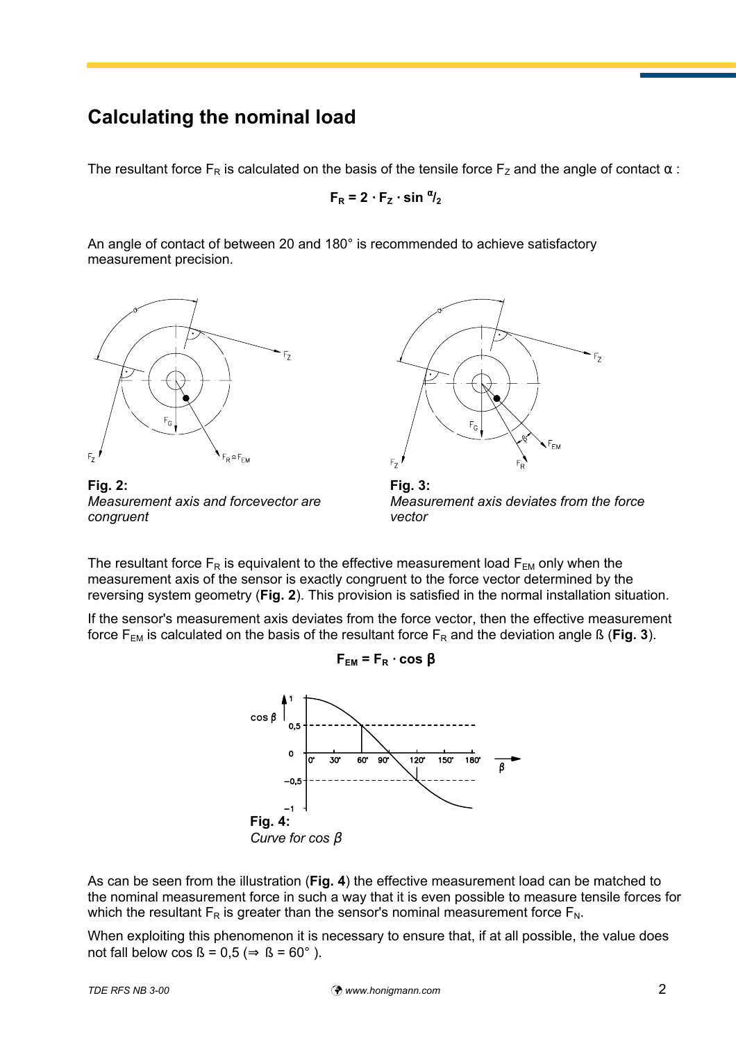## **Calculating the nominal load**

The resultant force  $F_R$  is calculated on the basis of the tensile force  $F_Z$  and the angle of contact  $\alpha$ :

 $F_R = 2 \cdot F_Z \cdot \sin \frac{\alpha}{2}$ 

An angle of contact of between 20 and 180° is recommended to achieve satisfactory measurement precision.



**Fig. 2:** *Measurement axis and forcevector are congruent*



**Fig. 3:** *Measurement axis deviates from the force vector*

The resultant force  $F_R$  is equivalent to the effective measurement load  $F_{EM}$  only when the measurement axis of the sensor is exactly congruent to the force vector determined by the reversing system geometry (**Fig. 2**). This provision is satisfied in the normal installation situation.

If the sensor's measurement axis deviates from the force vector, then the effective measurement force  $F_{EM}$  is calculated on the basis of the resultant force  $F_R$  and the deviation angle ß (**Fig. 3**).

 $F_{EM} = F_R \cdot \cos \beta$ 



As can be seen from the illustration (**Fig. 4**) the effective measurement load can be matched to the nominal measurement force in such a way that it is even possible to measure tensile forces for which the resultant  $F_R$  is greater than the sensor's nominal measurement force  $F_N$ .

When exploiting this phenomenon it is necessary to ensure that, if at all possible, the value does not fall below cos  $\beta = 0.5 \implies \beta = 60^{\circ}$ ).